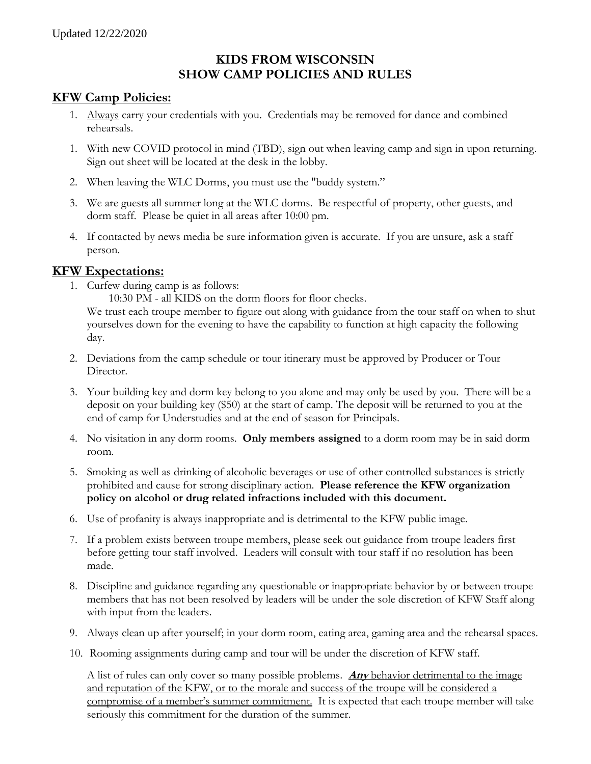## **KIDS FROM WISCONSIN SHOW CAMP POLICIES AND RULES**

## **KFW Camp Policies:**

- 1. Always carry your credentials with you. Credentials may be removed for dance and combined rehearsals.
- 1. With new COVID protocol in mind (TBD), sign out when leaving camp and sign in upon returning. Sign out sheet will be located at the desk in the lobby.
- 2. When leaving the WLC Dorms, you must use the "buddy system."
- 3. We are guests all summer long at the WLC dorms. Be respectful of property, other guests, and dorm staff. Please be quiet in all areas after 10:00 pm.
- 4. If contacted by news media be sure information given is accurate. If you are unsure, ask a staff person.

## **KFW Expectations:**

1. Curfew during camp is as follows:

10:30 PM - all KIDS on the dorm floors for floor checks. We trust each troupe member to figure out along with guidance from the tour staff on when to shut yourselves down for the evening to have the capability to function at high capacity the following day.

- 2. Deviations from the camp schedule or tour itinerary must be approved by Producer or Tour Director.
- 3. Your building key and dorm key belong to you alone and may only be used by you. There will be a deposit on your building key (\$50) at the start of camp. The deposit will be returned to you at the end of camp for Understudies and at the end of season for Principals.
- 4. No visitation in any dorm rooms. **Only members assigned** to a dorm room may be in said dorm room.
- 5. Smoking as well as drinking of alcoholic beverages or use of other controlled substances is strictly prohibited and cause for strong disciplinary action. **Please reference the KFW organization policy on alcohol or drug related infractions included with this document.**
- 6. Use of profanity is always inappropriate and is detrimental to the KFW public image.
- 7. If a problem exists between troupe members, please seek out guidance from troupe leaders first before getting tour staff involved. Leaders will consult with tour staff if no resolution has been made.
- 8. Discipline and guidance regarding any questionable or inappropriate behavior by or between troupe members that has not been resolved by leaders will be under the sole discretion of KFW Staff along with input from the leaders.
- 9. Always clean up after yourself; in your dorm room, eating area, gaming area and the rehearsal spaces.
- 10. Rooming assignments during camp and tour will be under the discretion of KFW staff.

A list of rules can only cover so many possible problems. **Any** behavior detrimental to the image and reputation of the KFW, or to the morale and success of the troupe will be considered a compromise of a member's summer commitment. It is expected that each troupe member will take seriously this commitment for the duration of the summer.